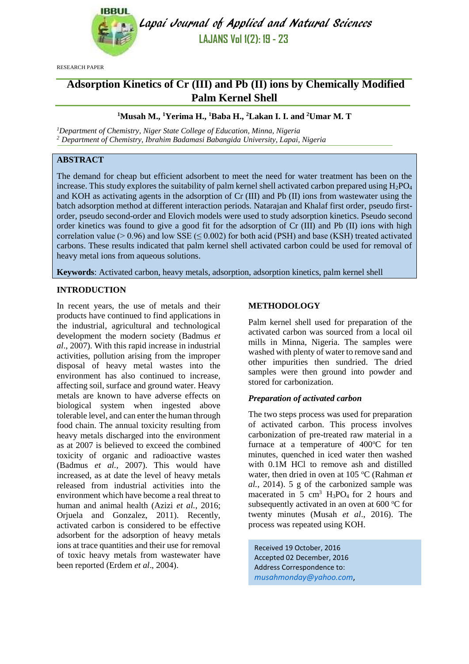

Lapai Journal of Applied and Natural Sciences **LAJANS Vol 1(2): 19 - 23**

RESEARCH PAPER

# **Adsorption Kinetics of Cr (III) and Pb (II) ions by Chemically Modified Palm Kernel Shell**

# **<sup>1</sup>Musah M., <sup>1</sup>Yerima H., <sup>1</sup>Baba H., <sup>2</sup>Lakan I. I. and <sup>2</sup>Umar M. T**

*<sup>1</sup>Department of Chemistry, Niger State College of Education, Minna, Nigeria <sup>2</sup> Department of Chemistry, Ibrahim Badamasi Babangida University, Lapai, Nigeria*

# **ABSTRACT**

The demand for cheap but efficient adsorbent to meet the need for water treatment has been on the increase. This study explores the suitability of palm kernel shell activated carbon prepared using  $H_2PO_4$ and KOH as activating agents in the adsorption of Cr (III) and Pb (II) ions from wastewater using the batch adsorption method at different interaction periods. Natarajan and Khalaf first order, pseudo firstorder, pseudo second-order and Elovich models were used to study adsorption kinetics. Pseudo second order kinetics was found to give a good fit for the adsorption of Cr (III) and Pb (II) ions with high correlation value ( $> 0.96$ ) and low SSE ( $\leq 0.002$ ) for both acid (PSH) and base (KSH) treated activated carbons. These results indicated that palm kernel shell activated carbon could be used for removal of heavy metal ions from aqueous solutions.

**Keywords**: Activated carbon, heavy metals, adsorption, adsorption kinetics, palm kernel shell

## **INTRODUCTION**

In recent years, the use of metals and their products have continued to find applications in the industrial, agricultural and technological development the modern society (Badmus *et al*., 2007). With this rapid increase in industrial activities, pollution arising from the improper disposal of heavy metal wastes into the environment has also continued to increase, affecting soil, surface and ground water. Heavy metals are known to have adverse effects on biological system when ingested above tolerable level, and can enter the human through food chain. The annual toxicity resulting from heavy metals discharged into the environment as at 2007 is believed to exceed the combined toxicity of organic and radioactive wastes (Badmus *et al.,* 2007). This would have increased, as at date the level of heavy metals released from industrial activities into the environment which have become a real threat to human and animal health (Azizi *et al.*, 2016; Orjuela and Gonzalez, 2011). Recently, activated carbon is considered to be effective adsorbent for the adsorption of heavy metals ions at trace quantities and their use for removal of toxic heavy metals from wastewater have been reported (Erdem *et al*., 2004).

## **METHODOLOGY**

Palm kernel shell used for preparation of the activated carbon was sourced from a local oil mills in Minna, Nigeria. The samples were washed with plenty of water to remove sand and other impurities then sundried. The dried samples were then ground into powder and stored for carbonization.

## *Preparation of activated carbon*

The two steps process was used for preparation of activated carbon. This process involves carbonization of pre-treated raw material in a furnace at a temperature of  $400^{\circ}$ C for ten minutes, quenched in iced water then washed with 0.1M HCl to remove ash and distilled water, then dried in oven at 105 °C (Rahman *et al.,* 2014). 5 g of the carbonized sample was macerated in 5 cm<sup>3</sup> H<sub>3</sub>PO<sub>4</sub> for 2 hours and subsequently activated in an oven at  $600^{\circ}$ C for twenty minutes (Musah *et al*., 2016). The process was repeated using KOH.

Received 19 October, 2016 Accepted 02 December, 2016 Address Correspondence to: *[musahmonday@yahoo.com](mailto:musahmonday@yahoo.com)*,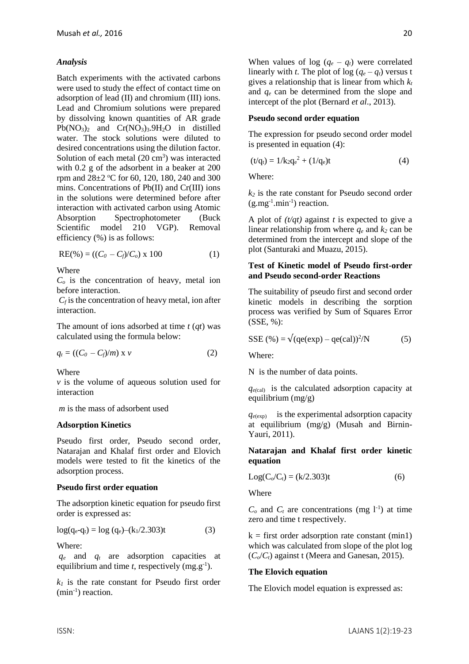# *Analysis*

Batch experiments with the activated carbons were used to study the effect of contact time on adsorption of lead (II) and chromium (III) ions. Lead and Chromium solutions were prepared by dissolving known quantities of AR grade  $Pb(NO<sub>3</sub>)<sub>2</sub>$  and  $Cr(NO<sub>3</sub>)<sub>3</sub>.9H<sub>2</sub>O$  in distilled water. The stock solutions were diluted to desired concentrations using the dilution factor. Solution of each metal  $(20 \text{ cm}^3)$  was interacted with 0.2 g of the adsorbent in a beaker at 200 rpm and 28±2 °C for 60, 120, 180, 240 and 300 mins. Concentrations of Pb(II) and Cr(III) ions in the solutions were determined before after interaction with activated carbon using Atomic Absorption Spectrophotometer (Buck Scientific model 210 VGP). Removal efficiency (%) is as follows:

$$
RE(\%)=( (C_0 - C_f)/C_o) \times 100 \tag{1}
$$

Where

*C<sup>o</sup>* is the concentration of heavy, metal ion before interaction.

 $C_f$  is the concentration of heavy metal, ion after interaction.

The amount of ions adsorbed at time *t* (*qt*) was calculated using the formula below:

$$
q_t = ((C_0 - C_f)/m) \times v \tag{2}
$$

Where

*v* is the volume of aqueous solution used for interaction

*m* is the mass of adsorbent used

## **Adsorption Kinetics**

Pseudo first order, Pseudo second order, Natarajan and Khalaf first order and Elovich models were tested to fit the kinetics of the adsorption process.

## **Pseudo first order equation**

The adsorption kinetic equation for pseudo first order is expressed as:

 $log(q_e-q_t) = log(q_e) - (k_1/2.303)t$  (3)

Where:

*q<sup>e</sup>* and *q<sup>t</sup>* are adsorption capacities at equilibrium and time  $t$ , respectively  $(mg.g^{-1})$ .

 $k_l$  is the rate constant for Pseudo first order (min<sup>-1</sup>) reaction.

When values of log  $(q_e - q_t)$  were correlated linearly with *t*. The plot of  $log (q_e - q_t)$  versus t gives a relationship that is linear from which *k<sup>t</sup>* and *q<sup>e</sup>* can be determined from the slope and intercept of the plot (Bernard *et al*., 2013).

#### **Pseudo second order equation**

The expression for pseudo second order model is presented in equation (4):

$$
(t/qt) = 1/k2qe2 + (1/qe)t
$$
 (4)

Where:

 $k_2$  is the rate constant for Pseudo second order  $(g.mg^{-1}.min^{-1})$  reaction.

A plot of *(t/qt)* against *t* is expected to give a linear relationship from where  $q_e$  and  $k_2$  can be determined from the intercept and slope of the plot (Santuraki and Muazu, 2015).

#### **Test of Kinetic model of Pseudo first-order and Pseudo second-order Reactions**

The suitability of pseudo first and second order kinetic models in describing the sorption process was verified by Sum of Squares Error (SSE, %):

$$
SSE(\%) = \sqrt{(qe(exp) - qe(cd))^2/N}
$$
 (5)

Where:

N is the number of data points.

 $q_{e$ (cal) is the calculated adsorption capacity at equilibrium (mg/g)

 $q_{e(\text{exp})}$  is the experimental adsorption capacity at equilibrium (mg/g) (Musah and Birnin-Yauri, 2011).

**Natarajan and Khalaf first order kinetic equation** 

$$
Log(C_0/C_t) = (k/2.303)t
$$
 (6)

Where

 $C<sub>o</sub>$  and  $C<sub>t</sub>$  are concentrations (mg l<sup>-1</sup>) at time zero and time t respectively.

 $k =$  first order adsorption rate constant (min1) which was calculated from slope of the plot log  $(C<sub>o</sub>/C<sub>t</sub>)$  against t (Meera and Ganesan, 2015).

## **The Elovich equation**

The Elovich model equation is expressed as: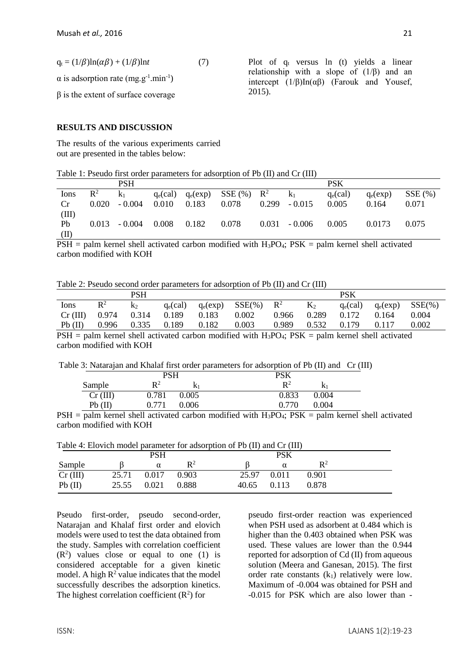$q_t = (1/\beta) \ln(\alpha\beta) + (1/\beta) \ln t$  (7)

 $\alpha$  is adsorption rate (mg.g<sup>-1</sup>.min<sup>-1</sup>)

 $β$  is the extent of surface coverage

## **RESULTS AND DISCUSSION**

The results of the various experiments carried out are presented in the tables below:

Plot of  $q_t$  versus ln  $(t)$  yields a linear relationship with a slope of  $(1/\beta)$  and an intercept  $(1/\beta)$ In( $\alpha\beta$ ) (Farouk and Yousef, 2015).

| Table 1: Pseudo first order parameters for adsorption of Pb (II) and Cr (III) |  |  |  |  |  |  |  |  |  |
|-------------------------------------------------------------------------------|--|--|--|--|--|--|--|--|--|
|-------------------------------------------------------------------------------|--|--|--|--|--|--|--|--|--|

|       |                | <b>PSH</b> |             |            |                |                 | <b>PSK</b>  |            |           |
|-------|----------------|------------|-------------|------------|----------------|-----------------|-------------|------------|-----------|
| Ions  | $\mathbb{R}^2$ | K۱         | $q_e$ (cal) | $q_e(exp)$ | $SSE(%)$ $R^2$ | $k_1$           | $q_e$ (cal) | $q_e(exp)$ | $SSE(\%)$ |
| Cr    | 0.020          | $-0.004$   | 0.010       | 0.183      | 0.078          | $0.299 - 0.015$ | 0.005       | 0.164      | 0.071     |
| (III) |                |            |             |            |                |                 |             |            |           |
| Pb    | 0.013          | $-0.004$   | 0.008       | 0.182      | 0.078          | $0.031 - 0.006$ | 0.005       | 0.0173     | 0.075     |
| (II)  |                |            |             |            |                |                 |             |            |           |

 $PSH =$  palm kernel shell activated carbon modified with  $H_3PO_4$ ;  $PSK =$  palm kernel shell activated carbon modified with KOH

Table 2: Pseudo second order parameters for adsorption of Pb (II) and Cr (III)

|         |       | PSH   |             |       |                                                                                                           |                |       | <b>PSK</b>  |            |            |
|---------|-------|-------|-------------|-------|-----------------------------------------------------------------------------------------------------------|----------------|-------|-------------|------------|------------|
| Ions    | $R^2$ | k2    | $q_e$ (cal) |       | $q_e(exp)$ SSE(%) $\Box$                                                                                  | $\mathbb{R}^2$ | $K_2$ | $q_e$ (cal) | $q_e(exp)$ | $SSE(\% )$ |
| Cr(III) | 0.974 | 0.314 | 0.189       | 0.183 | 0.002                                                                                                     | 0.966          | 0.289 | 0.172       | 0.164      | 0.004      |
| Pb(II)  | 0.996 | 0.335 | 0.189       | 0.182 | 0.003                                                                                                     | 0.989          | 0.532 | 0.179       | 0.117      | 0.002      |
| DCIL    |       |       |             |       | $\sim 1$ as the set of start and set of a set of set of $\sim 10^{\circ}$ s for start II DO $\sim 100V$ . |                |       |             |            |            |

 $PSH =$  palm kernel shell activated carbon modified with  $H_3PO_4$ ;  $PSK =$  palm kernel shell activated carbon modified with KOH

Table 3: Natarajan and Khalaf first order parameters for adsorption of Pb (II) and Cr (III)

|      |            | <b>PSH</b>                                 |                      | DCV<br>rov       |       |              |
|------|------------|--------------------------------------------|----------------------|------------------|-------|--------------|
|      | Sample     | $\mathbf{R}^2$                             | K١                   | $\mathbf{D}^2$   | V     |              |
|      | $Cr$ (III) | 0.781<br>0.005                             |                      | 0.833            | 0.004 |              |
|      | $Pb$ (II)  | 0.006<br>771                               |                      | 0.770            | 0.004 |              |
| DOTT |            | $1 \quad 1 \quad 11$<br>$\cdots$<br>$\sim$ | 1.01<br>$\mathbf{1}$ | $1.1$ II DO DOIZ |       | $1 \quad 11$ |

 $PSH =$  palm kernel shell activated carbon modified with  $H_3PO_4$ ;  $PSK =$  palm kernel shell activated carbon modified with KOH

| Table 4: Elovich model parameter for adsorption of Pb (II) and Cr (III) |  |  |  |
|-------------------------------------------------------------------------|--|--|--|
|-------------------------------------------------------------------------|--|--|--|

|          |       | PSH   |                |       | PSK   |                |  |
|----------|-------|-------|----------------|-------|-------|----------------|--|
| Sample   |       | α     | $\mathbf{R}^2$ |       |       | $\mathbf{R}^2$ |  |
| Cr (III) | 25.71 | 0.017 | 0.903          | 25.97 | 0.011 | 0.901          |  |
| Pb(II)   | 25.55 | 0.021 | 0.888          | 40.65 | 0.113 | 0.878          |  |

Pseudo first-order, pseudo second-order, Natarajan and Khalaf first order and elovich models were used to test the data obtained from the study. Samples with correlation coefficient  $(R<sup>2</sup>)$  values close or equal to one (1) is considered acceptable for a given kinetic model. A high  $R^2$  value indicates that the model successfully describes the adsorption kinetics. The highest correlation coefficient  $(R^2)$  for

pseudo first-order reaction was experienced when PSH used as adsorbent at 0.484 which is higher than the 0.403 obtained when PSK was used. These values are lower than the 0.944 reported for adsorption of Cd (II) from aqueous solution (Meera and Ganesan, 2015). The first order rate constants  $(k_1)$  relatively were low. Maximum of -0.004 was obtained for PSH and -0.015 for PSK which are also lower than -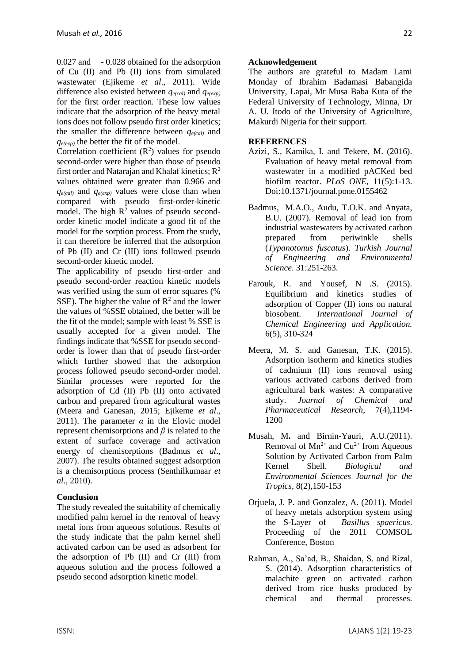0.027 and - 0.028 obtained for the adsorption of Cu (II) and Pb (II) ions from simulated wastewater (Ejikeme *et al*., 2011). Wide difference also existed between *qe(cal)* and *qe(exp)* for the first order reaction. These low values indicate that the adsorption of the heavy metal ions does not follow pseudo first order kinetics; the smaller the difference between *qe(cal)* and *qe(exp)* the better the fit of the model.

Correlation coefficient  $(R^2)$  values for pseudo second-order were higher than those of pseudo first order and Natarajan and Khalaf kinetics;  $R^2$ values obtained were greater than 0.966 and *qe(cal)* and *qe(exp)* values were close than when compared with pseudo first-order-kinetic model. The high  $R^2$  values of pseudo secondorder kinetic model indicate a good fit of the model for the sorption process. From the study, it can therefore be inferred that the adsorption of Pb (II) and Cr (III) ions followed pseudo second-order kinetic model.

The applicability of pseudo first-order and pseudo second-order reaction kinetic models was verified using the sum of error squares (% SSE). The higher the value of  $\mathbb{R}^2$  and the lower the values of %SSE obtained, the better will be the fit of the model; sample with least % SSE is usually accepted for a given model. The findings indicate that %SSE for pseudo secondorder is lower than that of pseudo first-order which further showed that the adsorption process followed pseudo second-order model. Similar processes were reported for the adsorption of Cd (II) Pb (II) onto activated carbon and prepared from agricultural wastes (Meera and Ganesan, 2015; Ejikeme *et al*., 2011). The parameter  $\alpha$  in the Elovic model represent chemisorptions and *β* is related to the extent of surface coverage and activation energy of chemisorptions (Badmus *et al*., 2007). The results obtained suggest adsorption is a chemisorptions process (Senthilkumaar *et al*., 2010).

## **Conclusion**

The study revealed the suitability of chemically modified palm kernel in the removal of heavy metal ions from aqueous solutions. Results of the study indicate that the palm kernel shell activated carbon can be used as adsorbent for the adsorption of Pb (II) and Cr (III) from aqueous solution and the process followed a pseudo second adsorption kinetic model.

#### **Acknowledgement**

The authors are grateful to Madam Lami Monday of Ibrahim Badamasi Babangida University, Lapai, Mr Musa Baba Kuta of the Federal University of Technology, Minna, Dr A. U. Itodo of the University of Agriculture, Makurdi Nigeria for their support.

#### **REFERENCES**

- Azizi, S., Kamika, I. and Tekere, M. (2016). Evaluation of heavy metal removal from wastewater in a modified pACKed bed biofilm reactor. *PLoS ONE*, 11(5):1-13. Doi:10.1371/journal.pone.0155462
- Badmus, M.A.O., Audu, T.O.K. and Anyata, B.U. (2007). Removal of lead ion from industrial wastewaters by activated carbon prepared from periwinkle shells (*Typanotonus fuscatus*). *Turkish Journal of Engineering and Environmental Science*. 31:251-263.
- Farouk, R. and Yousef, N .S. (2015). Equilibrium and kinetics studies of adsorption of Copper (II) ions on natural biosobent. *International Journal of Chemical Engineering and Application.* 6(5), 310-324
- Meera, M. S. and Ganesan, T.K. (2015). Adsorption isotherm and kinetics studies of cadmium (II) ions removal using various activated carbons derived from agricultural bark wastes: A comparative study. *Journal of Chemical and Pharmaceutical Research*, 7(4),1194- 1200
- Musah, M**.** and Birnin-Yauri, A.U.(2011). Removal of  $Mn^{2+}$  and  $Cu^{2+}$  from Aqueous Solution by Activated Carbon from Palm Kernel Shell. *Biological and Environmental Sciences Journal for the Tropics,* 8(2),150-153
- Orjuela, J. P. and Gonzalez, A. (2011). Model of heavy metals adsorption system using the S-Layer of *Basillus spaericus*. Proceeding of the 2011 COMSOL Conference, Boston
- Rahman, A., Sa'ad, B., Shaidan, S. and Rizal, S. (2014). Adsorption characteristics of malachite green on activated carbon derived from rice husks produced by chemical and thermal processes.